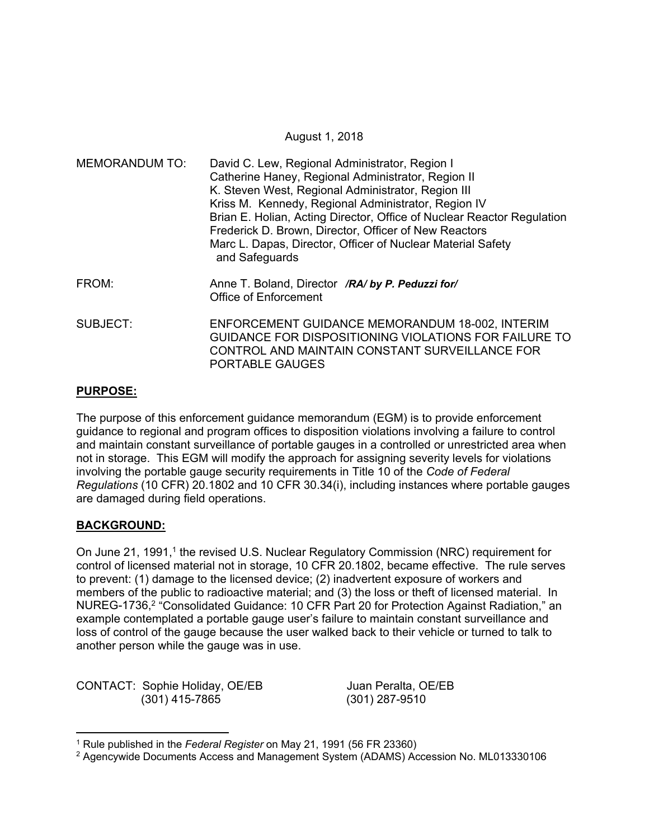### August 1, 2018

| <b>MEMORANDUM TO:</b> | David C. Lew, Regional Administrator, Region I<br>Catherine Haney, Regional Administrator, Region II<br>K. Steven West, Regional Administrator, Region III<br>Kriss M. Kennedy, Regional Administrator, Region IV<br>Brian E. Holian, Acting Director, Office of Nuclear Reactor Regulation<br>Frederick D. Brown, Director, Officer of New Reactors<br>Marc L. Dapas, Director, Officer of Nuclear Material Safety<br>and Safeguards |  |  |
|-----------------------|---------------------------------------------------------------------------------------------------------------------------------------------------------------------------------------------------------------------------------------------------------------------------------------------------------------------------------------------------------------------------------------------------------------------------------------|--|--|
| FROM:                 | Anne T. Boland, Director /RA/ by P. Peduzzi for/<br><b>Office of Enforcement</b>                                                                                                                                                                                                                                                                                                                                                      |  |  |
| SUBJECT:              | ENFORCEMENT GUIDANCE MEMORANDUM 18-002, INTERIM<br>GUIDANCE FOR DISPOSITIONING VIOLATIONS FOR FAILURE TO<br>CONTROL AND MAINTAIN CONSTANT SURVEILLANCE FOR<br>PORTABLE GAUGES                                                                                                                                                                                                                                                         |  |  |

## **PURPOSE:**

The purpose of this enforcement guidance memorandum (EGM) is to provide enforcement guidance to regional and program offices to disposition violations involving a failure to control and maintain constant surveillance of portable gauges in a controlled or unrestricted area when not in storage. This EGM will modify the approach for assigning severity levels for violations involving the portable gauge security requirements in Title 10 of the *Code of Federal Regulations* (10 CFR) 20.1802 and 10 CFR 30.34(i), including instances where portable gauges are damaged during field operations.

## **BACKGROUND:**

 $\overline{a}$ 

On June 21, 1991,<sup>1</sup> the revised U.S. Nuclear Regulatory Commission (NRC) requirement for control of licensed material not in storage, 10 CFR 20.1802, became effective. The rule serves to prevent: (1) damage to the licensed device; (2) inadvertent exposure of workers and members of the public to radioactive material; and (3) the loss or theft of licensed material. In NUREG-1736,<sup>2</sup> "Consolidated Guidance: 10 CFR Part 20 for Protection Against Radiation," an example contemplated a portable gauge user's failure to maintain constant surveillance and loss of control of the gauge because the user walked back to their vehicle or turned to talk to another person while the gauge was in use.

CONTACT: Sophie Holiday, OE/EB Juan Peralta, OE/EB (301) 415-7865 (301) 287-9510

<sup>1</sup> Rule published in the *Federal Register* on May 21, 1991 (56 FR 23360)

<sup>2</sup> Agencywide Documents Access and Management System (ADAMS) Accession No. ML013330106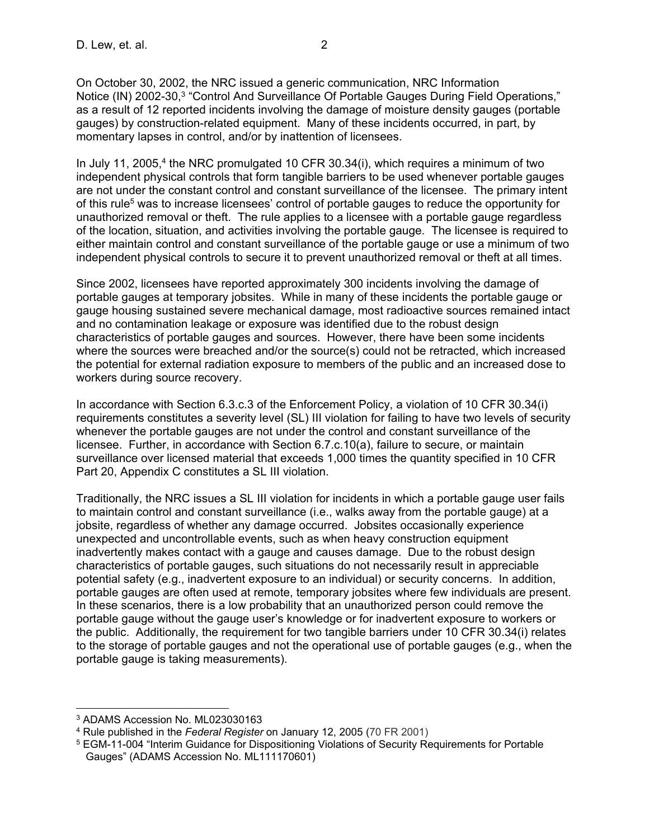On October 30, 2002, the NRC issued a generic communication, NRC Information Notice (IN) 2002-30,3 "Control And Surveillance Of Portable Gauges During Field Operations," as a result of 12 reported incidents involving the damage of moisture density gauges (portable gauges) by construction-related equipment. Many of these incidents occurred, in part, by momentary lapses in control, and/or by inattention of licensees.

In July 11, 2005,<sup>4</sup> the NRC promulgated 10 CFR 30.34(i), which requires a minimum of two independent physical controls that form tangible barriers to be used whenever portable gauges are not under the constant control and constant surveillance of the licensee. The primary intent of this rule<sup>5</sup> was to increase licensees' control of portable gauges to reduce the opportunity for unauthorized removal or theft. The rule applies to a licensee with a portable gauge regardless of the location, situation, and activities involving the portable gauge. The licensee is required to either maintain control and constant surveillance of the portable gauge or use a minimum of two independent physical controls to secure it to prevent unauthorized removal or theft at all times.

Since 2002, licensees have reported approximately 300 incidents involving the damage of portable gauges at temporary jobsites. While in many of these incidents the portable gauge or gauge housing sustained severe mechanical damage, most radioactive sources remained intact and no contamination leakage or exposure was identified due to the robust design characteristics of portable gauges and sources. However, there have been some incidents where the sources were breached and/or the source(s) could not be retracted, which increased the potential for external radiation exposure to members of the public and an increased dose to workers during source recovery.

In accordance with Section 6.3.c.3 of the Enforcement Policy, a violation of 10 CFR 30.34(i) requirements constitutes a severity level (SL) III violation for failing to have two levels of security whenever the portable gauges are not under the control and constant surveillance of the licensee. Further, in accordance with Section 6.7.c.10(a), failure to secure, or maintain surveillance over licensed material that exceeds 1,000 times the quantity specified in 10 CFR Part 20, Appendix C constitutes a SL III violation.

Traditionally, the NRC issues a SL III violation for incidents in which a portable gauge user fails to maintain control and constant surveillance (i.e., walks away from the portable gauge) at a jobsite, regardless of whether any damage occurred. Jobsites occasionally experience unexpected and uncontrollable events, such as when heavy construction equipment inadvertently makes contact with a gauge and causes damage. Due to the robust design characteristics of portable gauges, such situations do not necessarily result in appreciable potential safety (e.g., inadvertent exposure to an individual) or security concerns. In addition, portable gauges are often used at remote, temporary jobsites where few individuals are present. In these scenarios, there is a low probability that an unauthorized person could remove the portable gauge without the gauge user's knowledge or for inadvertent exposure to workers or the public. Additionally, the requirement for two tangible barriers under 10 CFR 30.34(i) relates to the storage of portable gauges and not the operational use of portable gauges (e.g., when the portable gauge is taking measurements).

 $\overline{\phantom{a}}$ 3 ADAMS Accession No. ML023030163

<sup>4</sup> Rule published in the *Federal Register* on January 12, 2005 (70 FR 2001)

<sup>5</sup> EGM-11-004 "Interim Guidance for Dispositioning Violations of Security Requirements for Portable Gauges" (ADAMS Accession No. ML111170601)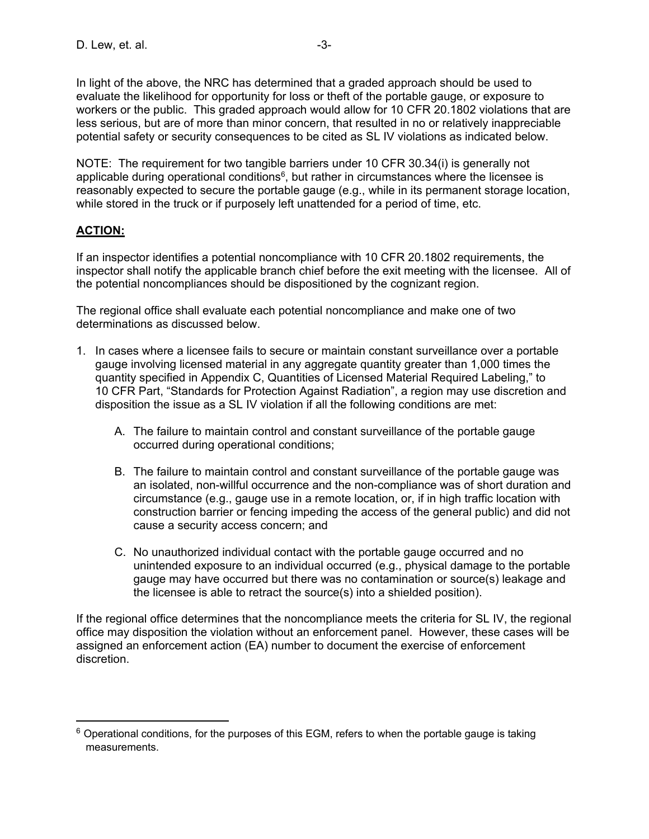In light of the above, the NRC has determined that a graded approach should be used to evaluate the likelihood for opportunity for loss or theft of the portable gauge, or exposure to workers or the public. This graded approach would allow for 10 CFR 20.1802 violations that are less serious, but are of more than minor concern, that resulted in no or relatively inappreciable potential safety or security consequences to be cited as SL IV violations as indicated below.

NOTE: The requirement for two tangible barriers under 10 CFR 30.34(i) is generally not applicable during operational conditions<sup> $6$ </sup>, but rather in circumstances where the licensee is reasonably expected to secure the portable gauge (e.g., while in its permanent storage location, while stored in the truck or if purposely left unattended for a period of time, etc.

# **ACTION:**

**.** 

If an inspector identifies a potential noncompliance with 10 CFR 20.1802 requirements, the inspector shall notify the applicable branch chief before the exit meeting with the licensee. All of the potential noncompliances should be dispositioned by the cognizant region.

The regional office shall evaluate each potential noncompliance and make one of two determinations as discussed below.

- 1. In cases where a licensee fails to secure or maintain constant surveillance over a portable gauge involving licensed material in any aggregate quantity greater than 1,000 times the quantity specified in Appendix C, Quantities of Licensed Material Required Labeling," to 10 CFR Part, "Standards for Protection Against Radiation", a region may use discretion and disposition the issue as a SL IV violation if all the following conditions are met:
	- A. The failure to maintain control and constant surveillance of the portable gauge occurred during operational conditions;
	- B. The failure to maintain control and constant surveillance of the portable gauge was an isolated, non-willful occurrence and the non-compliance was of short duration and circumstance (e.g., gauge use in a remote location, or, if in high traffic location with construction barrier or fencing impeding the access of the general public) and did not cause a security access concern; and
	- C. No unauthorized individual contact with the portable gauge occurred and no unintended exposure to an individual occurred (e.g., physical damage to the portable gauge may have occurred but there was no contamination or source(s) leakage and the licensee is able to retract the source(s) into a shielded position).

If the regional office determines that the noncompliance meets the criteria for SL IV, the regional office may disposition the violation without an enforcement panel. However, these cases will be assigned an enforcement action (EA) number to document the exercise of enforcement discretion.

 $6$  Operational conditions, for the purposes of this EGM, refers to when the portable gauge is taking measurements.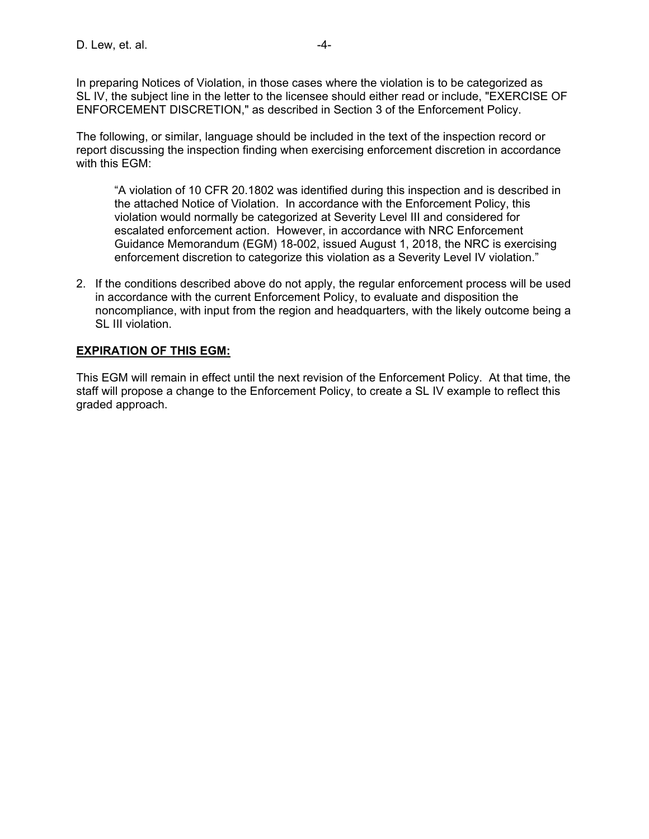In preparing Notices of Violation, in those cases where the violation is to be categorized as SL IV, the subject line in the letter to the licensee should either read or include, "EXERCISE OF ENFORCEMENT DISCRETION," as described in Section 3 of the Enforcement Policy.

The following, or similar, language should be included in the text of the inspection record or report discussing the inspection finding when exercising enforcement discretion in accordance with this EGM:

"A violation of 10 CFR 20.1802 was identified during this inspection and is described in the attached Notice of Violation. In accordance with the Enforcement Policy, this violation would normally be categorized at Severity Level III and considered for escalated enforcement action. However, in accordance with NRC Enforcement Guidance Memorandum (EGM) 18-002, issued August 1, 2018, the NRC is exercising enforcement discretion to categorize this violation as a Severity Level IV violation."

2. If the conditions described above do not apply, the regular enforcement process will be used in accordance with the current Enforcement Policy, to evaluate and disposition the noncompliance, with input from the region and headquarters, with the likely outcome being a SL III violation.

## **EXPIRATION OF THIS EGM:**

This EGM will remain in effect until the next revision of the Enforcement Policy. At that time, the staff will propose a change to the Enforcement Policy, to create a SL IV example to reflect this graded approach.